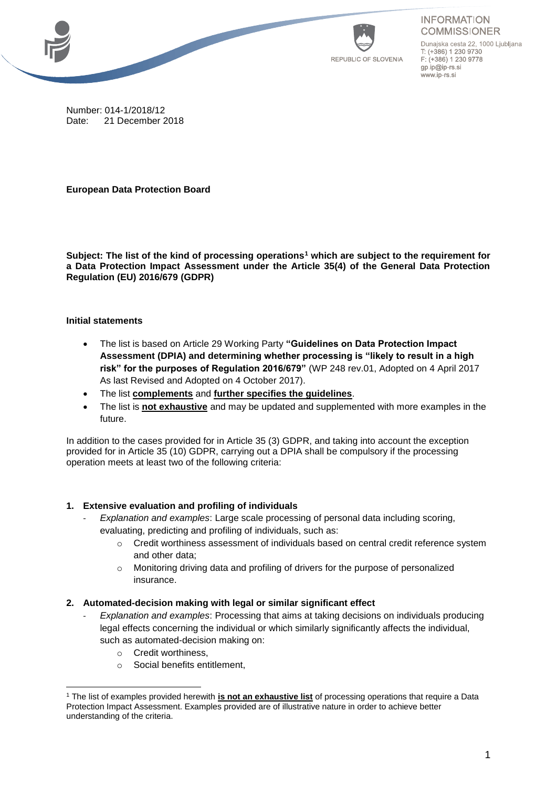



**INFORMATION COMMISSIONER** 

Dunajska cesta 22, 1000 Ljubljana T: (+386) 1 230 9730 F: (+386) 1 230 9778 gp.ip@ip-rs.si www.ip-rs.si

Number: 014-1/2018/12 Date: 21 December 2018

**European Data Protection Board**

**Subject: The list of the kind of processing operations<sup>1</sup> which are subject to the requirement for a Data Protection Impact Assessment under the Article 35(4) of the General Data Protection Regulation (EU) 2016/679 (GDPR)**

## **Initial statements**

- The list is based on Article 29 Working Party **"Guidelines on Data Protection Impact Assessment (DPIA) and determining whether processing is "likely to result in a high risk" for the purposes of Regulation 2016/679"** (WP 248 rev.01, Adopted on 4 April 2017 As last Revised and Adopted on 4 October 2017).
- The list **complements** and **further specifies the guidelines**.
- The list is **not exhaustive** and may be updated and supplemented with more examples in the future.

In addition to the cases provided for in Article 35 (3) GDPR, and taking into account the exception provided for in Article 35 (10) GDPR, carrying out a DPIA shall be compulsory if the processing operation meets at least two of the following criteria:

# **1. Extensive evaluation and profiling of individuals**

- *Explanation and examples*: Large scale processing of personal data including scoring, evaluating, predicting and profiling of individuals, such as:
	- $\circ$  Credit worthiness assessment of individuals based on central credit reference system and other data;
	- o Monitoring driving data and profiling of drivers for the purpose of personalized insurance.

#### **2. Automated-decision making with legal or similar significant effect**

- *Explanation and examples*: Processing that aims at taking decisions on individuals producing legal effects concerning the individual or which similarly significantly affects the individual, such as automated-decision making on:
	- o Credit worthiness,
	- o Social benefits entitlement,

 <sup>1</sup> The list of examples provided herewith **is not an exhaustive list** of processing operations that require a Data Protection Impact Assessment. Examples provided are of illustrative nature in order to achieve better understanding of the criteria.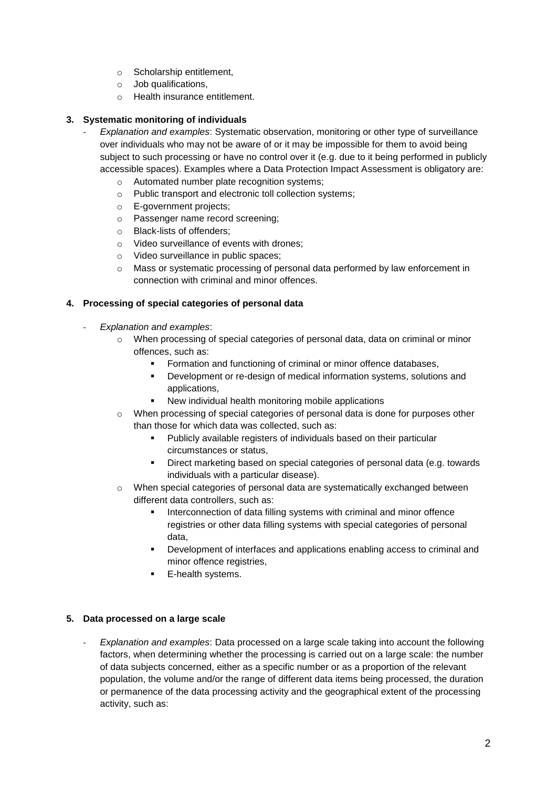- o Scholarship entitlement,
- o Job qualifications,
- o Health insurance entitlement.

## **3. Systematic monitoring of individuals**

- *Explanation and examples*: Systematic observation, monitoring or other type of surveillance over individuals who may not be aware of or it may be impossible for them to avoid being subject to such processing or have no control over it (e.g. due to it being performed in publicly accessible spaces). Examples where a Data Protection Impact Assessment is obligatory are:
	- o Automated number plate recognition systems;
	- o Public transport and electronic toll collection systems;
	- o E-government projects;
	- o Passenger name record screening;
	- o Black-lists of offenders;
	- o Video surveillance of events with drones;
	- o Video surveillance in public spaces;
	- $\circ$  Mass or systematic processing of personal data performed by law enforcement in connection with criminal and minor offences.

## **4. Processing of special categories of personal data**

- *Explanation and examples*:
	- o When processing of special categories of personal data, data on criminal or minor offences, such as:
		- Formation and functioning of criminal or minor offence databases,
		- Development or re-design of medical information systems, solutions and applications,
		- New individual health monitoring mobile applications
	- o When processing of special categories of personal data is done for purposes other than those for which data was collected, such as:
		- Publicly available registers of individuals based on their particular circumstances or status,
		- Direct marketing based on special categories of personal data (e.g. towards individuals with a particular disease).
	- $\circ$  When special categories of personal data are systematically exchanged between different data controllers, such as:
		- Interconnection of data filling systems with criminal and minor offence registries or other data filling systems with special categories of personal data,
		- Development of interfaces and applications enabling access to criminal and minor offence registries,
		- **E-health systems.**

#### **5. Data processed on a large scale**

- *Explanation and examples*: Data processed on a large scale taking into account the following factors, when determining whether the processing is carried out on a large scale: the number of data subjects concerned, either as a specific number or as a proportion of the relevant population, the volume and/or the range of different data items being processed, the duration or permanence of the data processing activity and the geographical extent of the processing activity, such as: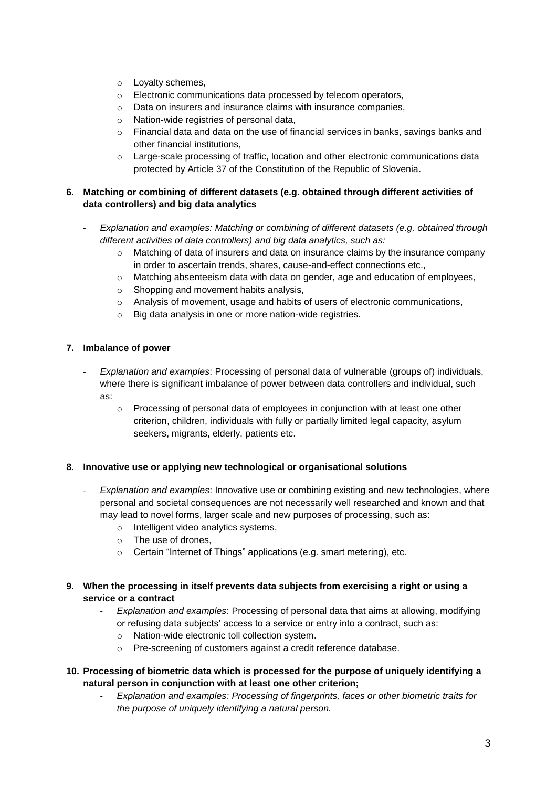- o Loyalty schemes,
- o Electronic communications data processed by telecom operators,
- o Data on insurers and insurance claims with insurance companies,
- o Nation-wide registries of personal data,
- $\circ$  Financial data and data on the use of financial services in banks, savings banks and other financial institutions,
- $\circ$  Large-scale processing of traffic, location and other electronic communications data protected by Article 37 of the Constitution of the Republic of Slovenia.

#### **6. Matching or combining of different datasets (e.g. obtained through different activities of data controllers) and big data analytics**

- *Explanation and examples: Matching or combining of different datasets (e.g. obtained through different activities of data controllers) and big data analytics, such as:*
	- $\circ$  Matching of data of insurers and data on insurance claims by the insurance company in order to ascertain trends, shares, cause-and-effect connections etc.,
	- o Matching absenteeism data with data on gender, age and education of employees,
	- o Shopping and movement habits analysis,
	- o Analysis of movement, usage and habits of users of electronic communications,
	- o Big data analysis in one or more nation-wide registries.

#### **7. Imbalance of power**

- *Explanation and examples*: Processing of personal data of vulnerable (groups of) individuals, where there is significant imbalance of power between data controllers and individual, such as:
	- $\circ$  Processing of personal data of employees in conjunction with at least one other criterion, children, individuals with fully or partially limited legal capacity, asylum seekers, migrants, elderly, patients etc.

#### **8. Innovative use or applying new technological or organisational solutions**

- *Explanation and examples*: Innovative use or combining existing and new technologies, where personal and societal consequences are not necessarily well researched and known and that may lead to novel forms, larger scale and new purposes of processing, such as:
	- o Intelligent video analytics systems,
	- o The use of drones,
	- o Certain "Internet of Things" applications (e.g. smart metering), etc.

## **9. When the processing in itself prevents data subjects from exercising a right or using a service or a contract**

- *Explanation and examples*: Processing of personal data that aims at allowing, modifying or refusing data subjects' access to a service or entry into a contract, such as:
	- o Nation-wide electronic toll collection system.
	- o Pre-screening of customers against a credit reference database.

## **10. Processing of biometric data which is processed for the purpose of uniquely identifying a natural person in conjunction with at least one other criterion;**

- *Explanation and examples: Processing of fingerprints, faces or other biometric traits for the purpose of uniquely identifying a natural person.*